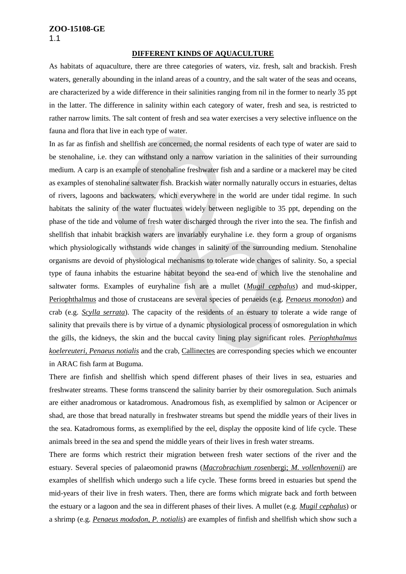#### **DIFFERENT KINDS OF AQUACULTURE**

As habitats of aquaculture, there are three categories of waters, viz. fresh, salt and brackish. Fresh waters, generally abounding in the inland areas of a country, and the salt water of the seas and oceans, are characterized by a wide difference in their salinities ranging from nil in the former to nearly 35 ppt in the latter. The difference in salinity within each category of water, fresh and sea, is restricted to rather narrow limits. The salt content of fresh and sea water exercises a very selective influence on the fauna and flora that live in each type of water.

In as far as finfish and shellfish are concerned, the normal residents of each type of water are said to be stenohaline, i.e. they can withstand only a narrow variation in the salinities of their surrounding medium. A carp is an example of stenohaline freshwater fish and a sardine or a mackerel may be cited as examples of stenohaline saltwater fish. Brackish water normally naturally occurs in estuaries, deltas of rivers, lagoons and backwaters, which everywhere in the world are under tidal regime. In such habitats the salinity of the water fluctuates widely between negligible to 35 ppt, depending on the phase of the tide and volume of fresh water discharged through the river into the sea. The finfish and shellfish that inhabit brackish waters are invariably euryhaline i.e. they form a group of organisms which physiologically withstands wide changes in salinity of the surrounding medium. Stenohaline organisms are devoid of physiological mechanisms to tolerate wide changes of salinity. So, a special type of fauna inhabits the estuarine habitat beyond the sea-end of which live the stenohaline and saltwater forms. Examples of euryhaline fish are a mullet (*Mugil cephalus*) and mud-skipper, Periophthalmus and those of crustaceans are several species of penaeids (e.g. *Penaeus monodon*) and crab (e.g. *Scylla serrata*). The capacity of the residents of an estuary to tolerate a wide range of salinity that prevails there is by virtue of a dynamic physiological process of osmoregulation in which the gills, the kidneys, the skin and the buccal cavity lining play significant roles. *Periophthalmus koelereuteri, Penaeus notialis* and the crab, Callinectes are corresponding species which we encounter in ARAC fish farm at Buguma.

There are finfish and shellfish which spend different phases of their lives in sea, estuaries and freshwater streams. These forms transcend the salinity barrier by their osmoregulation. Such animals are either anadromous or katadromous. Anadromous fish, as exemplified by salmon or Acipencer or shad, are those that bread naturally in freshwater streams but spend the middle years of their lives in the sea. Katadromous forms, as exemplified by the eel, display the opposite kind of life cycle. These animals breed in the sea and spend the middle years of their lives in fresh water streams.

There are forms which restrict their migration between fresh water sections of the river and the estuary. Several species of palaeomonid prawns (*Macrobrachium ros*enbergi; *M. vollenhovenii*) are examples of shellfish which undergo such a life cycle. These forms breed in estuaries but spend the mid-years of their live in fresh waters. Then, there are forms which migrate back and forth between the estuary or a lagoon and the sea in different phases of their lives. A mullet (e.g. *Mugil cephalus*) or a shrimp (e.g. *Penaeus mododon, P. notialis*) are examples of finfish and shellfish which show such a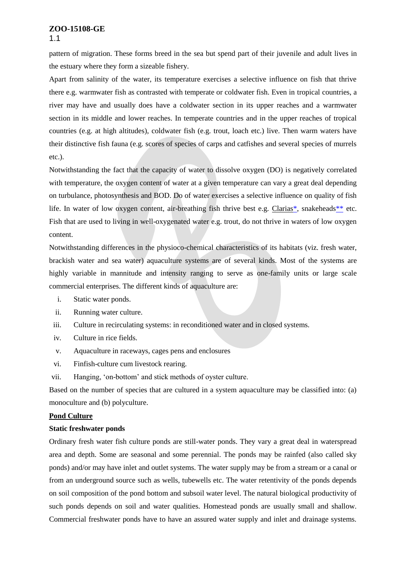pattern of migration. These forms breed in the sea but spend part of their juvenile and adult lives in the estuary where they form a sizeable fishery.

Apart from salinity of the water, its temperature exercises a selective influence on fish that thrive there e.g. warmwater fish as contrasted with temperate or coldwater fish. Even in tropical countries, a river may have and usually does have a coldwater section in its upper reaches and a warmwater section in its middle and lower reaches. In temperate countries and in the upper reaches of tropical countries (e.g. at high altitudes), coldwater fish (e.g. trout, loach etc.) live. Then warm waters have their distinctive fish fauna (e.g. scores of species of carps and catfishes and several species of murrels etc.).

Notwithstanding the fact that the capacity of water to dissolve oxygen (DO) is negatively correlated with temperature, the oxygen content of water at a given temperature can vary a great deal depending on turbulance, photosynthesis and BOD. Do of water exercises a selective influence on quality of fish life. In water of low oxygen content, air-breathing fish thrive best e.g. Claria[s\\*,](http://www.fao.org/docrep/field/003/ac169e/ac169e00.htm#ref3) snakehead[s\\*\\*](http://www.fao.org/docrep/field/003/ac169e/ac169e00.htm#ref4) etc. Fish that are used to living in well-oxygenated water e.g. trout, do not thrive in waters of low oxygen content.

Notwithstanding differences in the physioco-chemical characteristics of its habitats (viz. fresh water, brackish water and sea water) aquaculture systems are of several kinds. Most of the systems are highly variable in mannitude and intensity ranging to serve as one-family units or large scale commercial enterprises. The different kinds of aquaculture are:

- i. Static water ponds.
- ii. Running water culture.
- iii. Culture in recirculating systems: in reconditioned water and in closed systems.
- iv. Culture in rice fields.
- v. Aquaculture in raceways, cages pens and enclosures
- vi. Finfish-culture cum livestock rearing.
- vii. Hanging, 'on-bottom' and stick methods of oyster culture.

Based on the number of species that are cultured in a system aquaculture may be classified into: (a) monoculture and (b) polyculture.

#### **Pond Culture**

#### **Static freshwater ponds**

Ordinary fresh water fish culture ponds are still-water ponds. They vary a great deal in waterspread area and depth. Some are seasonal and some perennial. The ponds may be rainfed (also called sky ponds) and/or may have inlet and outlet systems. The water supply may be from a stream or a canal or from an underground source such as wells, tubewells etc. The water retentivity of the ponds depends on soil composition of the pond bottom and subsoil water level. The natural biological productivity of such ponds depends on soil and water qualities. Homestead ponds are usually small and shallow. Commercial freshwater ponds have to have an assured water supply and inlet and drainage systems.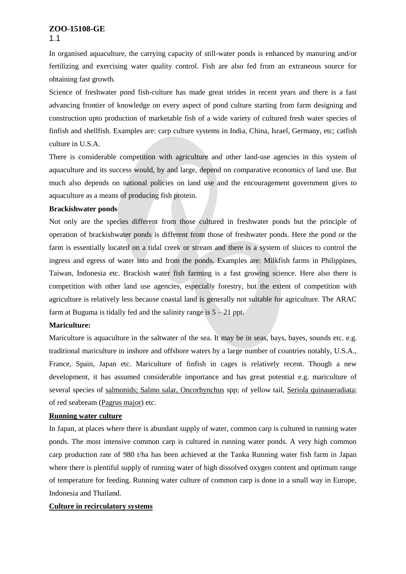In organised aquaculture, the carrying capacity of still-water ponds is enhanced by manuring and/or fertilizing and exercising water quality control. Fish are also fed from an extraneous source for obtaining fast growth.

Science of freshwater pond fish-culture has made great strides in recent years and there is a fast advancing frontier of knowledge on every aspect of pond culture starting from farm designing and construction upto production of marketable fish of a wide variety of cultured fresh water species of finfish and shellfish. Examples are: carp culture systems in India, China, Israel, Germany, etc; catfish culture in U.S.A.

There is considerable competition with agriculture and other land-use agencies in this system of aquaculture and its success would, by and large, depend on comparative economics of land use. But much also depends on national policies on land use and the encouragement government gives to aquaculture as a means of producing fish protein.

#### **Brackishwater ponds**

Not only are the species different from those cultured in freshwater ponds but the principle of operation of brackishwater ponds is different from those of freshwater ponds. Here the pond or the farm is essentially located on a tidal creek or stream and there is a system of sluices to control the ingress and egress of water into and from the ponds. Examples are: Milkfish farms in Philippines, Taiwan, Indonesia etc. Brackish water fish farming is a fast growing science. Here also there is competition with other land use agencies, especially forestry, but the extent of competition with agriculture is relatively less because coastal land is generally not suitable for agriculture. The ARAC farm at Buguma is tidally fed and the salinity range is  $5 - 21$  ppt.

#### **Mariculture:**

Mariculture is aquaculture in the saltwater of the sea. It may be in seas, bays, bayes, sounds etc. e.g. traditional mariculture in inshore and offshore waters by a large number of countries notably, U.S.A., France, Spain, Japan etc. Mariculture of finfish in cages is relatively recent. Though a new development, it has assumed considerable importance and has great potential e.g. mariculture of several species of salmonids; Salmo salar, Oncorhynchus spp; of yellow tail, Seriola quinaueradiata; of red seabream (Pagrus major) etc.

### **Running water culture**

In Japan, at places where there is abundant supply of water, common carp is cultured in running water ponds. The most intensive common carp is cultured in running water ponds. A very high common carp production rate of 980 t/ha has been achieved at the Tanka Running water fish farm in Japan where there is plentiful supply of running water of high dissolved oxygen content and optimum range of temperature for feeding. Running water culture of common carp is done in a small way in Europe, Indonesia and Thailand.

#### **Culture in recirculatory systems**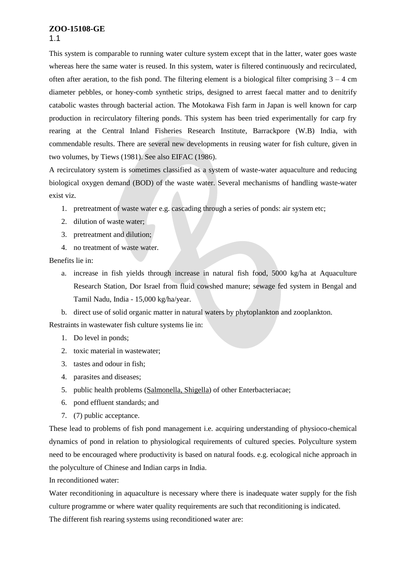This system is comparable to running water culture system except that in the latter, water goes waste whereas here the same water is reused. In this system, water is filtered continuously and recirculated, often after aeration, to the fish pond. The filtering element is a biological filter comprising  $3 - 4$  cm diameter pebbles, or honey-comb synthetic strips, designed to arrest faecal matter and to denitrify catabolic wastes through bacterial action. The Motokawa Fish farm in Japan is well known for carp production in recirculatory filtering ponds. This system has been tried experimentally for carp fry rearing at the Central Inland Fisheries Research Institute, Barrackpore (W.B) India, with commendable results. There are several new developments in reusing water for fish culture, given in two volumes, by Tiews (1981). See also EIFAC (1986).

A recirculatory system is sometimes classified as a system of waste-water aquaculture and reducing biological oxygen demand (BOD) of the waste water. Several mechanisms of handling waste-water exist viz.

- 1. pretreatment of waste water e.g. cascading through a series of ponds: air system etc;
- 2. dilution of waste water;
- 3. pretreatment and dilution;
- 4. no treatment of waste water.

Benefits lie in:

- a. increase in fish yields through increase in natural fish food, 5000 kg/ha at Aquaculture Research Station, Dor Israel from fluid cowshed manure; sewage fed system in Bengal and Tamil Nadu, India - 15,000 kg/ha/year.
- b. direct use of solid organic matter in natural waters by phytoplankton and zooplankton.

Restraints in wastewater fish culture systems lie in:

- 1. Do level in ponds;
- 2. toxic material in wastewater;
- 3. tastes and odour in fish;
- 4. parasites and diseases;
- 5. public health problems (Salmonella, Shigella) of other Enterbacteriacae;
- 6. pond effluent standards; and
- 7. (7) public acceptance.

These lead to problems of fish pond management i.e. acquiring understanding of physioco-chemical dynamics of pond in relation to physiological requirements of cultured species. Polyculture system need to be encouraged where productivity is based on natural foods. e.g. ecological niche approach in the polyculture of Chinese and Indian carps in India.

In reconditioned water:

Water reconditioning in aquaculture is necessary where there is inadequate water supply for the fish culture programme or where water quality requirements are such that reconditioning is indicated.

The different fish rearing systems using reconditioned water are: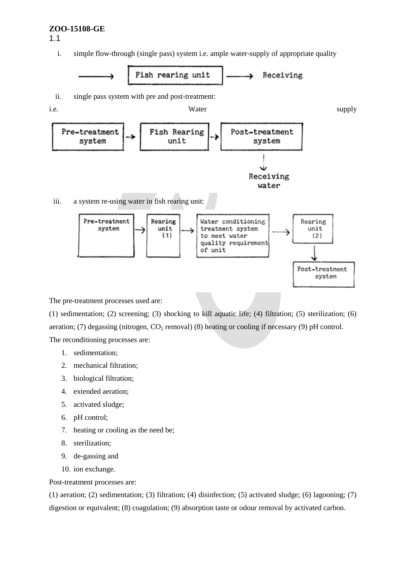i. simple flow-through (single pass) system i.e. ample water-supply of appropriate quality



The pre-treatment processes used are:

(1) sedimentation; (2) screening; (3) shocking to kill aquatic life; (4) filtration; (5) sterilization; (6) aeration; (7) degassing (nitrogen,  $CO_2$  removal) (8) heating or cooling if necessary (9) pH control. The reconditioning processes are:

- 1. sedimentation;
- 2. mechanical filtration;
- 3. biological filtration;
- 4. extended aeration;
- 5. activated sludge;
- 6. pH control;
- 7. heating or cooling as the need be;
- 8. sterilization;
- 9. de-gassing and
- 10. ion exchange.

Post-treatment processes are:

(1) aeration; (2) sedimentation; (3) filtration; (4) disinfection; (5) activated sludge; (6) lagooning; (7) digestion or equivalent; (8) coagulation; (9) absorption taste or odour removal by activated carbon.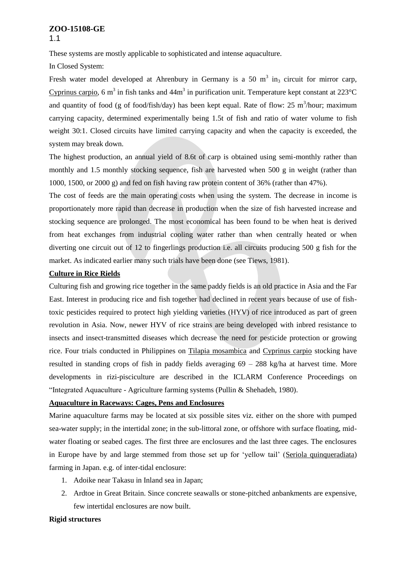These systems are mostly applicable to sophisticated and intense aquaculture.

In Closed System:

Fresh water model developed at Ahrenbury in Germany is a 50  $m<sup>3</sup>$  in<sub>3</sub> circuit for mirror carp, Cyprinus carpio, 6 m<sup>3</sup> in fish tanks and  $44m<sup>3</sup>$  in purification unit. Temperature kept constant at 223 °C and quantity of food (g of food/fish/day) has been kept equal. Rate of flow: 25 m<sup>3</sup>/hour; maximum carrying capacity, determined experimentally being 1.5t of fish and ratio of water volume to fish weight 30:1. Closed circuits have limited carrying capacity and when the capacity is exceeded, the system may break down.

The highest production, an annual yield of 8.6t of carp is obtained using semi-monthly rather than monthly and 1.5 monthly stocking sequence, fish are harvested when 500 g in weight (rather than 1000, 1500, or 2000 g) and fed on fish having raw protein content of 36% (rather than 47%).

The cost of feeds are the main operating costs when using the system. The decrease in income is proportionately more rapid than decrease in production when the size of fish harvested increase and stocking sequence are prolonged. The most economical has been found to be when heat is derived from heat exchanges from industrial cooling water rather than when centrally heated or when diverting one circuit out of 12 to fingerlings production i.e. all circuits producing 500 g fish for the market. As indicated earlier many such trials have been done (see Tiews, 1981).

#### **Culture in Rice Rields**

Culturing fish and growing rice together in the same paddy fields is an old practice in Asia and the Far East. Interest in producing rice and fish together had declined in recent years because of use of fishtoxic pesticides required to protect high yielding varieties (HYV) of rice introduced as part of green revolution in Asia. Now, newer HYV of rice strains are being developed with inbred resistance to insects and insect-transmitted diseases which decrease the need for pesticide protection or growing rice. Four trials conducted in Philippines on Tilapia mosambica and Cyprinus carpio stocking have resulted in standing crops of fish in paddy fields averaging  $69 - 288$  kg/ha at harvest time. More developments in rizi-pisciculture are described in the ICLARM Conference Proceedings on "Integrated Aquaculture - Agriculture farming systems (Pullin & Shehadeh, 1980).

#### **Aquaculture in Raceways: Cages, Pens and Enclosures**

Marine aquaculture farms may be located at six possible sites viz. either on the shore with pumped sea-water supply; in the intertidal zone; in the sub-littoral zone, or offshore with surface floating, midwater floating or seabed cages. The first three are enclosures and the last three cages. The enclosures in Europe have by and large stemmed from those set up for 'yellow tail' (Seriola quinqueradiata) farming in Japan. e.g. of inter-tidal enclosure:

- 1. Adoike near Takasu in Inland sea in Japan;
- 2. Ardtoe in Great Britain. Since concrete seawalls or stone-pitched anbankments are expensive, few intertidal enclosures are now built.

#### **Rigid structures**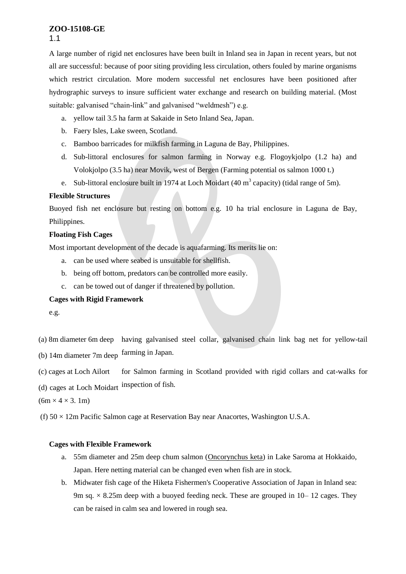A large number of rigid net enclosures have been built in Inland sea in Japan in recent years, but not all are successful: because of poor siting providing less circulation, others fouled by marine organisms which restrict circulation. More modern successful net enclosures have been positioned after hydrographic surveys to insure sufficient water exchange and research on building material. (Most suitable: galvanised "chain-link" and galvanised "weldmesh") e.g.

- a. yellow tail 3.5 ha farm at Sakaide in Seto Inland Sea, Japan.
- b. Faery Isles, Lake sween, Scotland.
- c. Bamboo barricades for milkfish farming in Laguna de Bay, Philippines.
- d. Sub-littoral enclosures for salmon farming in Norway e.g. Flogoykjolpo (1.2 ha) and Volokjolpo (3.5 ha) near Movik, west of Bergen (Farming potential os salmon 1000 t.)
- e. Sub-littoral enclosure built in 1974 at Loch Moidart (40 m<sup>3</sup> capacity) (tidal range of 5m).

# **Flexible Structures**

Buoyed fish net enclosure but resting on bottom e.g. 10 ha trial enclosure in Laguna de Bay, Philippines.

# **Floating Fish Cages**

Most important development of the decade is aquafarming. Its merits lie on:

- a. can be used where seabed is unsuitable for shellfish.
- b. being off bottom, predators can be controlled more easily.
- c. can be towed out of danger if threatened by pollution.

# **Cages with Rigid Framework**

e.g.

(a) 8m diameter 6m deep having galvanised steel collar, galvanised chain link bag net for yellow-tail

(b) 14m diameter 7m deep farming in Japan.

(c) cages at Loch Ailort for Salmon farming in Scotland provided with rigid collars and cat-walks for

inspection of fish. (d) cages at Loch Moidart

 $(6m \times 4 \times 3.1m)$ 

(f)  $50 \times 12$ m Pacific Salmon cage at Reservation Bay near Anacortes, Washington U.S.A.

# **Cages with Flexible Framework**

- a. 55m diameter and 25m deep chum salmon (Oncorynchus keta) in Lake Saroma at Hokkaido, Japan. Here netting material can be changed even when fish are in stock.
- b. Midwater fish cage of the Hiketa Fishermen's Cooperative Association of Japan in Inland sea: 9m sq.  $\times$  8.25m deep with a buoyed feeding neck. These are grouped in 10–12 cages. They can be raised in calm sea and lowered in rough sea.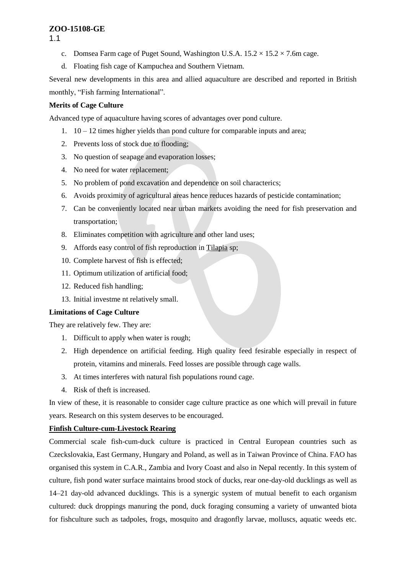1.1

- c. Domsea Farm cage of Puget Sound, Washington U.S.A.  $15.2 \times 15.2 \times 7.6$ m cage.
- d. Floating fish cage of Kampuchea and Southern Vietnam.

Several new developments in this area and allied aquaculture are described and reported in British monthly, "Fish farming International".

# **Merits of Cage Culture**

Advanced type of aquaculture having scores of advantages over pond culture.

- 1. 10 12 times higher yields than pond culture for comparable inputs and area;
- 2. Prevents loss of stock due to flooding;
- 3. No question of seapage and evaporation losses;
- 4. No need for water replacement;
- 5. No problem of pond excavation and dependence on soil characterics;
- 6. Avoids proximity of agricultural areas hence reduces hazards of pesticide contamination;
- 7. Can be conveniently located near urban markets avoiding the need for fish preservation and transportation;
- 8. Eliminates competition with agriculture and other land uses;
- 9. Affords easy control of fish reproduction in Tilapia sp;
- 10. Complete harvest of fish is effected;
- 11. Optimum utilization of artificial food;
- 12. Reduced fish handling;
- 13. Initial investme nt relatively small.

# **Limitations of Cage Culture**

They are relatively few. They are:

- 1. Difficult to apply when water is rough;
- 2. High dependence on artificial feeding. High quality feed fesirable especially in respect of protein, vitamins and minerals. Feed losses are possible through cage walls.
- 3. At times interferes with natural fish populations round cage.
- 4. Risk of theft is increased.

In view of these, it is reasonable to consider cage culture practice as one which will prevail in future years. Research on this system deserves to be encouraged.

# **Finfish Culture-cum-Livestock Rearing**

Commercial scale fish-cum-duck culture is practiced in Central European countries such as Czeckslovakia, East Germany, Hungary and Poland, as well as in Taiwan Province of China. FAO has organised this system in C.A.R., Zambia and Ivory Coast and also in Nepal recently. In this system of culture, fish pond water surface maintains brood stock of ducks, rear one-day-old ducklings as well as 14–21 day-old advanced ducklings. This is a synergic system of mutual benefit to each organism cultured: duck droppings manuring the pond, duck foraging consuming a variety of unwanted biota for fishculture such as tadpoles, frogs, mosquito and dragonfly larvae, molluscs, aquatic weeds etc.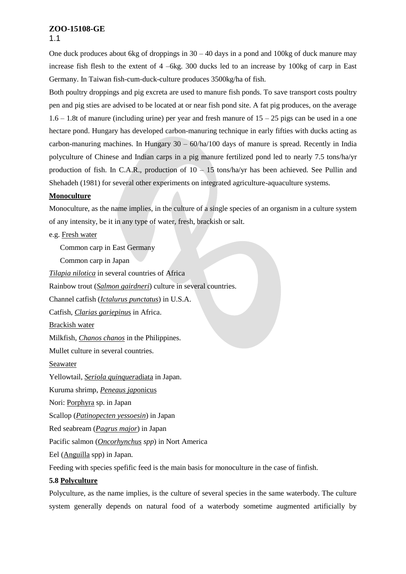One duck produces about 6kg of droppings in  $30 - 40$  days in a pond and 100kg of duck manure may increase fish flesh to the extent of 4 –6kg. 300 ducks led to an increase by 100kg of carp in East Germany. In Taiwan fish-cum-duck-culture produces 3500kg/ha of fish.

Both poultry droppings and pig excreta are used to manure fish ponds. To save transport costs poultry pen and pig sties are advised to be located at or near fish pond site. A fat pig produces, on the average  $1.6 - 1.8t$  of manure (including urine) per year and fresh manure of  $15 - 25$  pigs can be used in a one hectare pond. Hungary has developed carbon-manuring technique in early fifties with ducks acting as carbon-manuring machines. In Hungary  $30 - 60$ /ha/100 days of manure is spread. Recently in India polyculture of Chinese and Indian carps in a pig manure fertilized pond led to nearly 7.5 tons/ha/yr production of fish. In C.A.R., production of  $10 - 15$  tons/ha/yr has been achieved. See Pullin and Shehadeh (1981) for several other experiments on integrated agriculture-aquaculture systems.

### **Monoculture**

Monoculture, as the name implies, in the culture of a single species of an organism in a culture system of any intensity, be it in any type of water, fresh, brackish or salt.

### e.g. Fresh water

Common carp in East Germany

Common carp in Japan

*Tilapia nilotica* in several countries of Africa

Rainbow trout (*Salmon gairdneri*) culture in several countries.

Channel catfish (*Ictalurus punctatus*) in U.S.A.

Catfish, *Clarias gariepinu*s in Africa.

Brackish water

Milkfish, *Chanos chanos* in the Philippines.

Mullet culture in several countries.

Seawater

Yellowtail, *Seriola quinquer*adiata in Japan.

Kuruma shrimp, *Peneaus jap*onicus

Nori: Porphyra sp. in Japan

Scallop (*Patinopecten yessoesin*) in Japan

Red seabream (*Pagrus major*) in Japan

Pacific salmon (*Oncorhynchus spp*) in Nort America

Eel (Anguilla spp) in Japan.

Feeding with species spefific feed is the main basis for monoculture in the case of finfish.

# **5.8 Polyculture**

Polyculture, as the name implies, is the culture of several species in the same waterbody. The culture system generally depends on natural food of a waterbody sometime augmented artificially by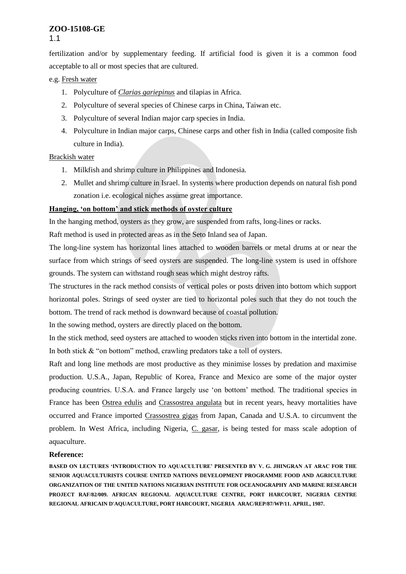fertilization and/or by supplementary feeding. If artificial food is given it is a common food acceptable to all or most species that are cultured.

### e.g. Fresh water

- 1. Polyculture of *Clarias gariepinus* and tilapias in Africa.
- 2. Polyculture of several species of Chinese carps in China, Taiwan etc.
- 3. Polyculture of several Indian major carp species in India.
- 4. Polyculture in Indian major carps, Chinese carps and other fish in India (called composite fish culture in India).

# Brackish water

- 1. Milkfish and shrimp culture in Philippines and Indonesia.
- 2. Mullet and shrimp culture in Israel. In systems where production depends on natural fish pond zonation i.e. ecological niches assume great importance.

# **Hanging, 'on bottom' and stick methods of oyster culture**

In the hanging method, oysters as they grow, are suspended from rafts, long-lines or racks.

Raft method is used in protected areas as in the Seto Inland sea of Japan.

The long-line system has horizontal lines attached to wooden barrels or metal drums at or near the surface from which strings of seed oysters are suspended. The long-line system is used in offshore grounds. The system can withstand rough seas which might destroy rafts.

The structures in the rack method consists of vertical poles or posts driven into bottom which support horizontal poles. Strings of seed oyster are tied to horizontal poles such that they do not touch the bottom. The trend of rack method is downward because of coastal pollution.

In the sowing method, oysters are directly placed on the bottom.

In the stick method, seed oysters are attached to wooden sticks riven into bottom in the intertidal zone. In both stick & "on bottom" method, crawling predators take a toll of oysters.

Raft and long line methods are most productive as they minimise losses by predation and maximise production. U.S.A., Japan, Republic of Korea, France and Mexico are some of the major oyster producing countries. U.S.A. and France largely use 'on bottom' method. The traditional species in France has been Ostrea edulis and Crassostrea angulata but in recent years, heavy mortalities have occurred and France imported Crassostrea gigas from Japan, Canada and U.S.A. to circumvent the problem. In West Africa, including Nigeria, C. gasar, is being tested for mass scale adoption of aquaculture.

# **Reference:**

**BASED ON LECTURES 'INTRODUCTION TO AQUACULTURE' PRESENTED BY V. G. JHINGRAN AT ARAC FOR THE SENIOR AQUACULTURISTS COURSE UNITED NATIONS DEVELOPMENT PROGRAMME FOOD AND AGRICULTURE ORGANIZATION OF THE UNITED NATIONS NIGERIAN INSTITUTE FOR OCEANOGRAPHY AND MARINE RESEARCH PROJECT RAF/82/009. AFRICAN REGIONAL AQUACULTURE CENTRE, PORT HARCOURT, NIGERIA CENTRE REGIONAL AFRICAIN D'AQUACULTURE, PORT HARCOURT, NIGERIA ARAC/REP/87/WP/11. APRIL, 1987.**